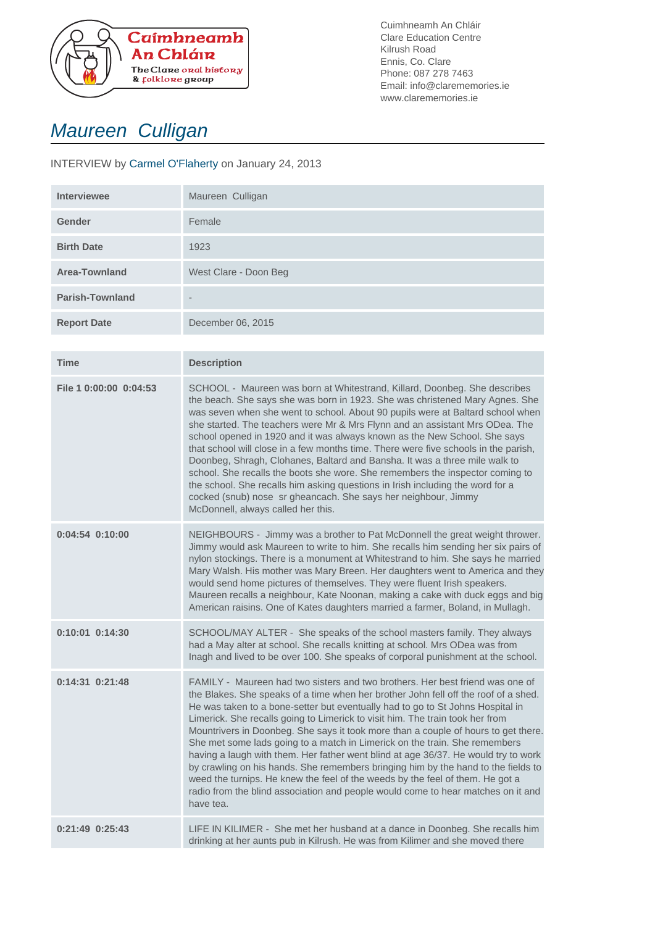

Cuimhneamh An Chláir Clare Education Centre Kilrush Road Ennis, Co. Clare Phone: 087 278 7463 Email: info@clarememories.ie www.clarememories.ie

## Maureen Culligan

## INTERVIEW by Carmel O'Flaherty on January 24, 2013

| <b>Interviewee</b>     | Maureen Culligan         |
|------------------------|--------------------------|
| Gender                 | Female                   |
| <b>Birth Date</b>      | 1923                     |
| <b>Area-Townland</b>   | West Clare - Doon Beg    |
| <b>Parish-Townland</b> | $\overline{\phantom{a}}$ |
| <b>Report Date</b>     | December 06, 2015        |
|                        |                          |

| Time                   | <b>Description</b>                                                                                                                                                                                                                                                                                                                                                                                                                                                                                                                                                                                                                                                                                                                                                                                                                                                       |
|------------------------|--------------------------------------------------------------------------------------------------------------------------------------------------------------------------------------------------------------------------------------------------------------------------------------------------------------------------------------------------------------------------------------------------------------------------------------------------------------------------------------------------------------------------------------------------------------------------------------------------------------------------------------------------------------------------------------------------------------------------------------------------------------------------------------------------------------------------------------------------------------------------|
| File 1 0:00:00 0:04:53 | SCHOOL - Maureen was born at Whitestrand, Killard, Doonbeg. She describes<br>the beach. She says she was born in 1923. She was christened Mary Agnes. She<br>was seven when she went to school. About 90 pupils were at Baltard school when<br>she started. The teachers were Mr & Mrs Flynn and an assistant Mrs ODea. The<br>school opened in 1920 and it was always known as the New School. She says<br>that school will close in a few months time. There were five schools in the parish,<br>Doonbeg, Shragh, Clohanes, Baltard and Bansha. It was a three mile walk to<br>school. She recalls the boots she wore. She remembers the inspector coming to<br>the school. She recalls him asking questions in Irish including the word for a<br>cocked (snub) nose sr gheancach. She says her neighbour, Jimmy<br>McDonnell, always called her this.                 |
| 0:04:54 0:10:00        | NEIGHBOURS - Jimmy was a brother to Pat McDonnell the great weight thrower.<br>Jimmy would ask Maureen to write to him. She recalls him sending her six pairs of<br>nylon stockings. There is a monument at Whitestrand to him. She says he married<br>Mary Walsh. His mother was Mary Breen. Her daughters went to America and they<br>would send home pictures of themselves. They were fluent Irish speakers.<br>Maureen recalls a neighbour, Kate Noonan, making a cake with duck eggs and big<br>American raisins. One of Kates daughters married a farmer, Boland, in Mullagh.                                                                                                                                                                                                                                                                                     |
| 0:10:01 0:14:30        | SCHOOL/MAY ALTER - She speaks of the school masters family. They always<br>had a May alter at school. She recalls knitting at school. Mrs ODea was from<br>Inagh and lived to be over 100. She speaks of corporal punishment at the school.                                                                                                                                                                                                                                                                                                                                                                                                                                                                                                                                                                                                                              |
| $0:14:31$ $0:21:48$    | FAMILY - Maureen had two sisters and two brothers. Her best friend was one of<br>the Blakes. She speaks of a time when her brother John fell off the roof of a shed.<br>He was taken to a bone-setter but eventually had to go to St Johns Hospital in<br>Limerick. She recalls going to Limerick to visit him. The train took her from<br>Mountrivers in Doonbeg. She says it took more than a couple of hours to get there.<br>She met some lads going to a match in Limerick on the train. She remembers<br>having a laugh with them. Her father went blind at age 36/37. He would try to work<br>by crawling on his hands. She remembers bringing him by the hand to the fields to<br>weed the turnips. He knew the feel of the weeds by the feel of them. He got a<br>radio from the blind association and people would come to hear matches on it and<br>have tea. |
| $0:21:49$ $0:25:43$    | LIFE IN KILIMER - She met her husband at a dance in Doonbeg. She recalls him<br>drinking at her aunts pub in Kilrush. He was from Kilimer and she moved there                                                                                                                                                                                                                                                                                                                                                                                                                                                                                                                                                                                                                                                                                                            |